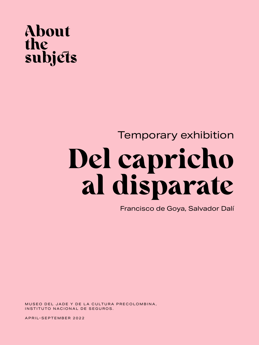### About the subjets

## Temporary exhibition Del capricho al disparate

Francisco de Goya, Salvador Dalí

MUSEO DEL JADE Y DE LA CULTURA PRECOLOMBINA, INSTITUTO NACIONAL DE SEGUROS.

APRIL-SEPTEMBER 2022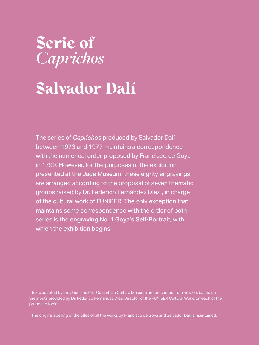### Serie of *Caprichos*

# Salvador Dalí

The series of *Caprichos* produced by Salvador Dalí between 1973 and 1977 maintains a correspondence with the numerical order proposed by Francisco de Goya in 1799. However, for the purposes of the exhibition presented at the Jade Museum, these eighty engravings are arranged according to the proposal of seven thematic groups raised by Dr. Federico Fernández Díez<sup>1</sup>, in charge of the cultural work of FUNIBER. The only exception that maintains some correspondence with the order of both series is the engraving No. 1 Goya's Self-Portrait, with which the exhibition begins.

<sup>1</sup> Texts adapted by the Jade and Pre-Columbian Culture Museum are presented from now on, based on the inputs provided by Dr. Federico Fernández Díez, Director of the FUNIBER Cultural Work, on each of the proposed topics.

<sup>2</sup> The original spelling of the titles of all the works by Francisco de Goya and Salvador Dalí is maintained.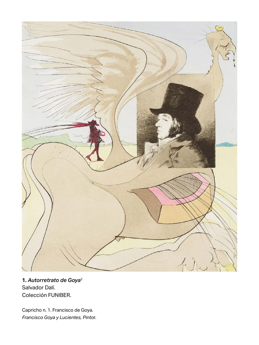

**1.** *Autorretrato de Goya*<sup>2</sup> Salvador Dalí. Colección FUNIBER.

Capricho n. 1. Francisco de Goya. *Francisco Goya y Lucientes, Pinto*r.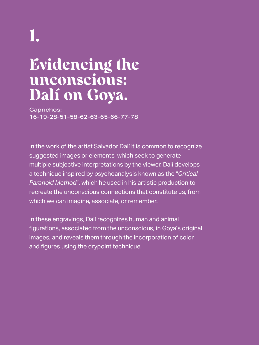## 1.

## Evidencing the unconscious: Dalí on Goya.

Caprichos: 16-19-28-51-58-62-63-65-66-77-78

In the work of the artist Salvador Dalí it is common to recognize suggested images or elements, which seek to generate multiple subjective interpretations by the viewer. Dalí develops a technique inspired by psychoanalysis known as the "*Critical Paranoid Method*", which he used in his artistic production to recreate the unconscious connections that constitute us, from which we can imagine, associate, or remember.

In these engravings, Dalí recognizes human and animal figurations, associated from the unconscious, in Goya's original images, and reveals them through the incorporation of color and figures using the drypoint technique.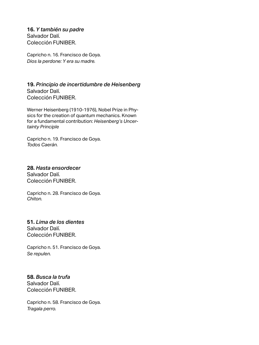**16.** *Y también su padre* Salvador Dalí. Colección FUNIBER.

Capricho n. 16. Francisco de Goya. *Dios la perdone: Y era su madre.*

**19.** *Principio de incertidumbre de Heisenberg* Salvador Dalí. Colección FUNIBER.

Werner Heisenberg (1910-1976), Nobel Prize in Physics for the creation of quantum mechanics. Known for a fundamental contribution: *Heisenberg's Uncertainty Principle*

Capricho n. 19. Francisco de Goya. *Todos Caerán.*

#### **28.** *Hasta ensordecer* Salvador Dalí.

Colección FUNIBER.

Capricho n. 28. Francisco de Goya. *Chiton.*

#### **51.** *Lima de los dientes* Salvador Dalí. Colección FUNIBER.

Capricho n. 51. Francisco de Goya. *Se repulen.*

#### **58.** *Busca la trufa* Salvador Dalí. Colección FUNIBER.

Capricho n. 58. Francisco de Goya. *Tragala perro.*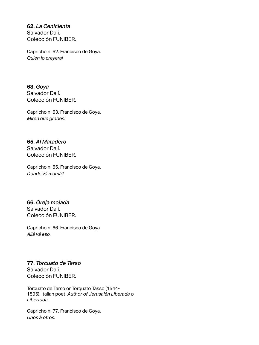**62.** *La Cenicienta* Salvador Dalí. Colección FUNIBER.

Capricho n. 62. Francisco de Goya. *Quien lo creyera!*

**63.** *Goya* Salvador Dalí. Colección FUNIBER.

Capricho n. 63. Francisco de Goya. *Miren que grabes!*

**65.** *Al Matadero* Salvador Dalí. Colección FUNIBER.

Capricho n. 65. Francisco de Goya. *Donde vá mamá?*

**66.** *Oreja mojada* Salvador Dalí. Colección FUNIBER.

Capricho n. 66. Francisco de Goya. *Allá vá eso.*

**77.** *Torcuato de Tarso* Salvador Dalí. Colección FUNIBER.

Torcuato de Tarso or Torquato Tasso (1544- 1595), Italian poet. *Author of Jerusalén Liberada o Libertada.*

Capricho n. 77. Francisco de Goya. *Unos à otros.*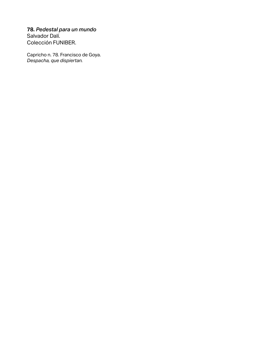#### **78.** *Pedestal para un mundo*

Salvador Dalí. Colección FUNIBER.

Capricho n. 78. Francisco de Goya. *Despacha, que dispiertan.*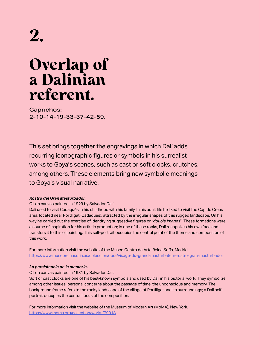## 2.

## Overlap of a Dalinian referent.

Caprichos: 2-10-14-19-33-37-42-59.

This set brings together the engravings in which Dalí adds recurring iconographic figures or symbols in his surrealist works to Goya's scenes, such as cast or soft clocks, crutches, among others. These elements bring new symbolic meanings to Goya's visual narrative.

#### *Rostro del Gran Masturbador.*

#### Oil on canvas painted in 1929 by Salvador Dalí.

Dalí used to visit Cadaqués in his childhood with his family. In his adult life he liked to visit the Cap de Creus area, located near Portlligat (Cadaqués), attracted by the irregular shapes of this rugged landscape. On his way he carried out the exercise of identifying suggestive figures or "*double images*". These formations were a source of inspiration for his artistic production; In one of these rocks, Dalí recognizes his own face and transfers it to this oil painting. This self-portrait occupies the central point of the theme and composition of this work.

For more information visit the website of the Museo Centro de Arte Reina Sofía, Madrid. <https://www.museoreinasofia.es/coleccion/obra/visage-du-grand-masturbateur-rostro-gran-masturbador>

#### *La persistencia de la memoria.*

Oil on canvas painted in 1931 by Salvador Dalí.

Soft or cast clocks are one of his best-known symbols and used by Dalí in his pictorial work. They symbolize, among other issues, personal concerns about the passage of time, the unconscious and memory. The background frame refers to the rocky landscape of the village of Portlligat and its surroundings; a Dalí selfportrait occupies the central focus of the composition.

For more information visit the website of the Museum of Modern Art (MoMA), New York. <https://www.moma.org/collection/works/79018>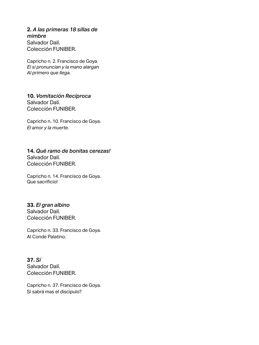#### **2.** *A las primeras 18 sillas de mimbre* Salvador Dalí. Colección FUNIBER.

Capricho n. 2. Francisco de Goya. *El si pronuncian y la mano alargan Al primero que llega.*

**10.** *Vomitación Recíproca* Salvador Dalí. Colección FUNIBER.

Capricho n. 10. Francisco de Goya. *El amor y la muerte.*

#### **14.** *Qué ramo de bonitas cerezas!* Salvador Dalí. Colección FUNIBER.

Capricho n. 14. Francisco de Goya. Que sacrificio!

#### **33.** *El gran albino*

Salvador Dalí. Colección FUNIBER.

Capricho n. 33. Francisco de Goya. Al Conde Palatino.

#### **37.** *Sí* Salvador Dalí. Colección FUNIBER.

Capricho n. 37. Francisco de Goya. Si sabrá mas el discipulo?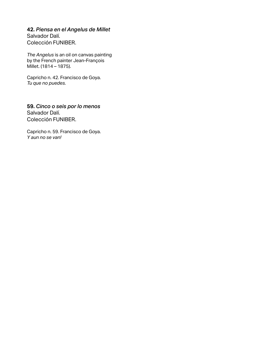#### **42.** *Piensa en el Angelus de Millet*

Salvador Dalí. Colección FUNIBER.

*The Angelus* is an oil on canvas painting by the French painter Jean-François Millet. (1814 – 1875).

Capricho n. 42. Francisco de Goya. *Tu que no puedes.*

**59.** *Cinco o seis por lo menos* Salvador Dalí. Colección FUNIBER.

Capricho n. 59. Francisco de Goya. *Y aun no se van!*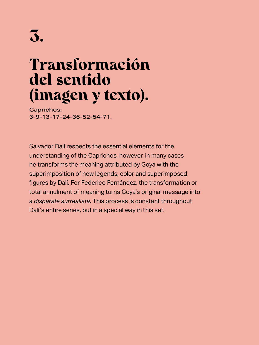## Transformación del sentido (imagen y texto).

Caprichos: 3-9-13-17-24-36-52-54-71.

Salvador Dalí respects the essential elements for the understanding of the Caprichos, however, in many cases he transforms the meaning attributed by Goya with the superimposition of new legends, color and superimposed figures by Dalí. For Federico Fernández, the transformation or total annulment of meaning turns Goya's original message into a *disparate surrealista*. This process is constant throughout Dalí's entire series, but in a special way in this set.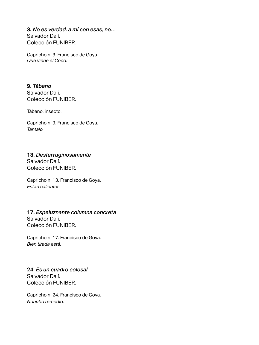**3.** *No es verdad, a mí con esas, no…* Salvador Dalí. Colección FUNIBER.

Capricho n. 3. Francisco de Goya. *Que viene el Coco.*

**9.** *Tábano* Salvador Dalí. Colección FUNIBER.

Tábano, insecto.

Capricho n. 9. Francisco de Goya. *Tantalo.*

#### **13.** *Desferruginosamente*

Salvador Dalí. Colección FUNIBER.

Capricho n. 13. Francisco de Goya. *Estan calientes.*

#### **17.** *Espeluznante columna concreta* Salvador Dalí.

Colección FUNIBER.

Capricho n. 17. Francisco de Goya. *Bien tirada está.* 

#### 24. *Es un cuadro colosal* Salvador Dalí. Colección FUNIBER.

Capricho n. 24. Francisco de Goya. *Nohubo remedio.*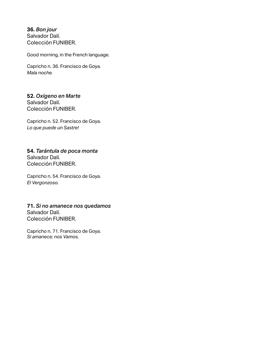**36.** *Bon jour* Salvador Dalí. Colección FUNIBER.

Good morning, in the French language.

Capricho n. 36. Francisco de Goya. *Mala noche.*

#### **52.** *Oxígeno en Marte* Salvador Dalí. Colección FUNIBER.

Capricho n. 52. Francisco de Goya. *Lo que puede un Sastre!*

#### **54.** *Tarántula de poca monta* Salvador Dalí. Colección FUNIBER.

Capricho n. 54. Francisco de Goya. *El Vergonzoso.*

#### **71.** *Si no amanece nos quedamos* Salvador Dalí.

Colección FUNIBER.

Capricho n. 71. Francisco de Goya. *Si amanece; nos Vamos.*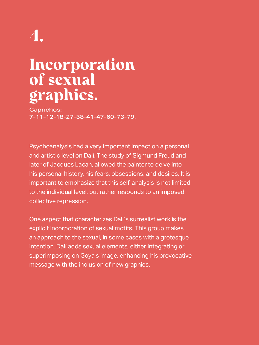## 4.

## Incorporation of sexual graphics.

Caprichos: 7-11-12-18-27-38-41-47-60-73-79.

Psychoanalysis had a very important impact on a personal and artistic level on Dalí. The study of Sigmund Freud and later of Jacques Lacan, allowed the painter to delve into his personal history, his fears, obsessions, and desires. It is important to emphasize that this self-analysis is not limited to the individual level, but rather responds to an imposed collective repression.

One aspect that characterizes Dalí's surrealist work is the explicit incorporation of sexual motifs. This group makes an approach to the sexual, in some cases with a grotesque intention. Dalí adds sexual elements, either integrating or superimposing on Goya's image, enhancing his provocative message with the inclusion of new graphics.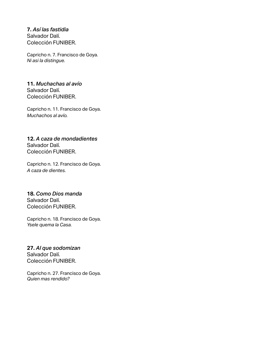**7.** *Así las fastidia* Salvador Dalí. Colección FUNIBER.

Capricho n. 7. Francisco de Goya. *Ni asi la distingue.*

#### **11.** *Muchachas al avío* Salvador Dalí. Colección FUNIBER.

Capricho n. 11. Francisco de Goya. *Muchachos al avío.*

#### **12.** *A caza de mondadientes* Salvador Dalí. Colección FUNIBER.

Capricho n. 12. Francisco de Goya. *A caza de dientes.*

#### **18.** *Como Dios manda* Salvador Dalí. Colección FUNIBER.

Capricho n. 18. Francisco de Goya. *Ysele quema la Casa.*

#### **27.** *Al que sodomizan* Salvador Dalí. Colección FUNIBER.

Capricho n. 27. Francisco de Goya. *Quien mas rendido?*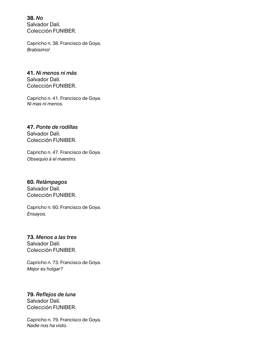**38.** *No* Salvador Dalí. Colección FUNIBER.

Capricho n. 38. Francisco de Goya. *Brabisimo!*

**41.** *Ni menos ni más* Salvador Dalí. Colección FUNIBER.

Capricho n. 41. Francisco de Goya. *Ni mas ni menos.*

**47.** *Ponte de rodillas* Salvador Dalí. Colección FUNIBER.

Capricho n. 47. Francisco de Goya. *Obsequio á el maestro.*

**60.** *Relámpagos* Salvador Dalí. Colección FUNIBER.

Capricho n. 60. Francisco de Goya. *Ensayos.*

**73.** *Menos a las tres* Salvador Dalí. Colección FUNIBER.

Capricho n. 73. Francisco de Goya. *Mejor es holgar?*

**79.** *Reflejos de luna* Salvador Dalí. Colección FUNIBER.

Capricho n. 79. Francisco de Goya. *Nadie nos ha visto.*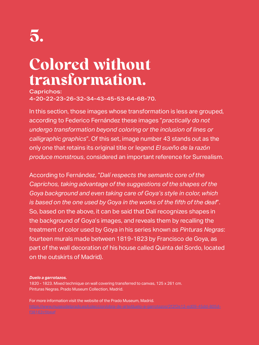## Colored without transformation.

Caprichos: 4-20-22-23-26-32-34-43-45-53-64-68-70.

In this section, those images whose transformation is less are grouped, according to Federico Fernández these images "*practically do not undergo transformation beyond coloring or the inclusion of lines or calligraphic graphics*". Of this set, image number 43 stands out as the only one that retains its original title or legend *El sueño de la razón produce monstrous*, considered an important reference for Surrealism.

According to Fernández, "*Dalí respects the semantic core of the Caprichos, taking advantage of the suggestions of the shapes of the Goya background and even taking care of Goya's style in color, which is based on the one used by Goya in the works of the fifth of the deaf*". So, based on the above, it can be said that Dalí recognizes shapes in the background of Goya's images, and reveals them by recalling the treatment of color used by Goya in his series known as *Pinturas Negras*: fourteen murals made between 1819-1823 by Francisco de Goya, as part of the wall decoration of his house called Quinta del Sordo, located on the outskirts of Madrid).

#### *Duelo a garrotazos.*

1820 - 1823. Mixed technique on wall covering transferred to canvas, 125 x 261 cm. Pinturas Negras. Prado Museum Collection, Madrid.

For more information visit the website of the Prado Museum, Madrid.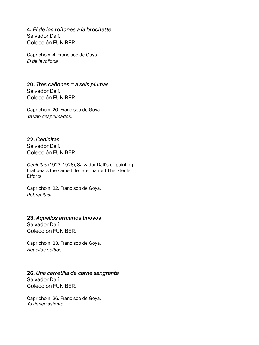**4.** *El de los roñones a la brochette* Salvador Dalí. Colección FUNIBER.

Capricho n. 4. Francisco de Goya. *El de la rollona.*

**20.** *Tres cañones = a seis plumas* Salvador Dalí. Colección FUNIBER.

Capricho n. 20. Francisco de Goya. *Ya van desplumados.*

**22.** *Cenicitas* Salvador Dalí. Colección FUNIBER.

*Cenicitas* (1927-1928), Salvador Dalí's oil painting that bears the same title, later named The Sterile Efforts.

Capricho n. 22. Francisco de Goya. *Pobrecitas!*

**23.** *Aquellos armarios tiñosos* Salvador Dalí. Colección FUNIBER.

Capricho n. 23. Francisco de Goya. *Aquellos polbos.*

#### **26.** *Una carretilla de carne sangrante* Salvador Dalí. Colección FUNIBER.

Capricho n. 26. Francisco de Goya. *Ya tienen asiento.*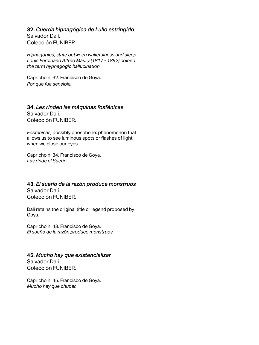**32.** *Cuerda hipnagógica de Lulio estringido* Salvador Dalí. Colección FUNIBER.

*Hipnagógica, state between wakefulness and sleep. Louis Ferdinand Alfred Maury (1817 - 1892) coined the term hypnagogic hallucination.*

Capricho n. 32. Francisco de Goya. *Por que fue sensible.*

**34.** *Les rinden las máquinas fosfénicas*  Salvador Dalí. Colección FUNIBER.

*Fosfénicas,* possibly phosphene: phenomenon that allows us to see luminous spots or flashes of light when we close our eyes.

Capricho n. 34. Francisco de Goya. *Las rinde el Sueño.*

#### **43.** *El sueño de la razón produce monstruos* Salvador Dalí. Colección FUNIBER.

Dalí retains the original title or legend proposed by Goya.

Capricho n. 43. Francisco de Goya. *El sueño de la razón produce monstruos.*

**45.** *Mucho hay que existencializar* Salvador Dalí. Colección FUNIBER.

Capricho n. 45. Francisco de Goya. *Mucho hay que chupar.*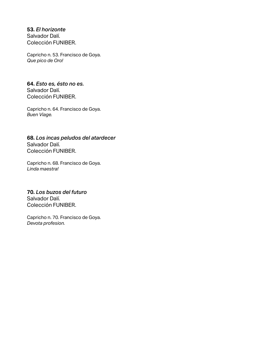**53.** *El horizonte* Salvador Dalí. Colección FUNIBER.

Capricho n. 53. Francisco de Goya. *Que pico de Oro!*

#### **64.** *Esto es, ésto no es.* Salvador Dalí.

Colección FUNIBER.

Capricho n. 64. Francisco de Goya. *Buen Viage.*

**68.** *Los incas peludos del atardecer*  Salvador Dalí. Colección FUNIBER.

Capricho n. 68. Francisco de Goya. *Linda maestra!*

#### **70.** *Los buzos del futuro* Salvador Dalí. Colección FUNIBER.

Capricho n. 70. Francisco de Goya. *Devota profesion.*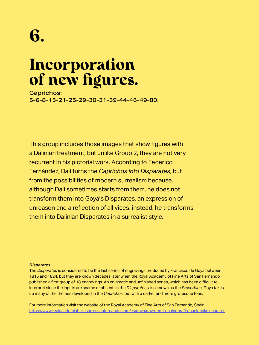## Incorporation of new figures.

Caprichos: 5-6-8-15-21-25-29-30-31-39-44-46-49-80.

This group includes those images that show figures with a Dalinian treatment, but unlike Group 2, they are not very recurrent in his pictorial work. According to Federico Fernández, Dalí turns the *Caprichos into Disparates*, but from the possibilities of modern surrealism because, although Dalí sometimes starts from them, he does not transform them into Goya's Disparates, an expression of unreason and a reflection of all vices. instead, he transforms them into Dalinian Disparates in a surrealist style.

#### *Disparates.*

The *Disparates* is considered to be the last series of engravings produced by Francisco de Goya between 1815 and 1824, but they are known decades later when the Royal Academy of Fine Arts of San Fernando published a first group of 18 engravings. An enigmatic and unfinished series, which has been difficult to interpret since the inputs are scarce or absent. In the *Disparates*, also known as the *Proverbios,* Goya takes up many of the themes developed in the *Caprichos*, but with a darker and more grotesque tone.

For more information visit the website of the Royal Academy of Fine Arts of San Fernando, Spain. [https://www.realacademiabellasartessanfernando.com/es/goya/goya-en-la-calcografia-nacional/disparates](https://www.realacademiabellasartessanfernando.com/es/goya/goya-en-la-calcografia-nacional/disparates )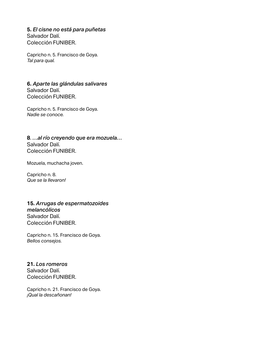#### **5.** *El cisne no está para puñetas* Salvador Dalí.

Colección FUNIBER.

Capricho n. 5. Francisco de Goya. *Tal para qual.*

#### **6.** *Aparte las glándulas salivares* Salvador Dalí. Colección FUNIBER.

Capricho n. 5. Francisco de Goya. *Nadie se conoce.*

**8**. *…al río creyendo que era mozuela…* Salvador Dalí. Colección FUNIBER.

Mozuela, muchacha joven.

Capricho n. 8. *Que se la llevaron!*

#### **15.** *Arrugas de espermatozoides melancólicos*  Salvador Dalí. Colección FUNIBER.

Capricho n. 15. Francisco de Goya. *Bellos consejos.*

#### **21.** *Los romeros* Salvador Dalí. Colección FUNIBER.

Capricho n. 21. Francisco de Goya. *¡Qual la descañonan!*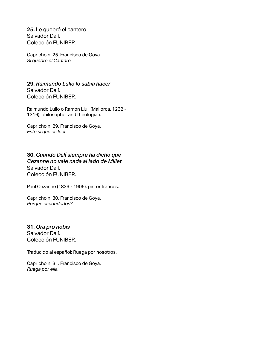**25.** Le quebró el cantero Salvador Dalí. Colección FUNIBER.

Capricho n. 25. Francisco de Goya. *Si quebró el Cantaro.*

**29.** *Raimundo Lulio lo sabia hacer* Salvador Dalí. Colección FUNIBER.

Raimundo Lulio o Ramón Llull (Mallorca, 1232 - 1316), philosopher and theologian.

Capricho n. 29. Francisco de Goya. *Esto si que es leer.*

**30.** *Cuando Dalí siempre ha dicho que Cezanne no vale nada al lado de Millet* Salvador Dalí. Colección FUNIBER.

Paul Cézanne (1839 - 1906), pintor francés.

Capricho n. 30. Francisco de Goya. *Porque esconderlos?*

**31.** *Ora pro nobis* Salvador Dalí. Colección FUNIBER.

Traducido al español: Ruega por nosotros.

Capricho n. 31. Francisco de Goya. *Ruega por ella.*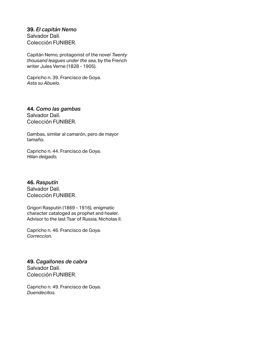**39.** *El capitán Nemo* Salvador Dalí. Colección FUNIBER.

Capitán Nemo, protagonist of the novel *Twenty thousand leagues under the sea*, by the French writer Jules Verne (1828 - 1905).

Capricho n. 39. Francisco de Goya. *Asta su Abuelo.*

#### **44.** *Como las gambas*

Salvador Dalí. Colección FUNIBER.

Gambas, similar al camarón, pero de mayor tamaño.

Capricho n. 44. Francisco de Goya. *Hilan delgado.*

**46.** *Rasputín* Salvador Dalí. Colección FUNIBER.

Grigori Rasputín (1869 - 1916), enigmatic character cataloged as prophet and healer. Advisor to the last Tsar of Russia, Nicholas II.

Capricho n. 46. Francisco de Goya. *Correccion.*

**49.** *Cagallones de cabra* Salvador Dalí. Colección FUNIBER.

Capricho n. 49. Francisco de Goya. *Duendecitos.*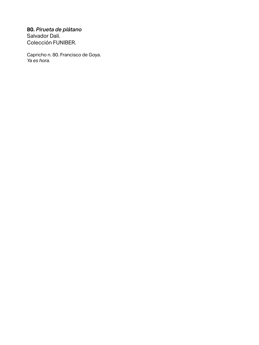#### **80.** *Pirueta de plátano*

Salvador Dalí. Colección FUNIBER.

Capricho n. 80. Francisco de Goya. *Ya es hora.*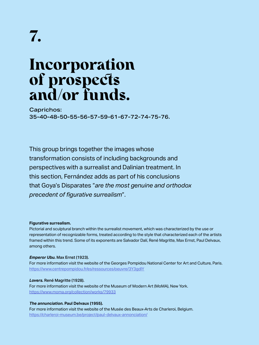### Incorporation of prospects and/or funds.

Caprichos: 35-40-48-50-55-56-57-59-61-67-72-74-75-76.

This group brings together the images whose transformation consists of including backgrounds and perspectives with a surrealist and Dalinian treatment. In this section, Fernández adds as part of his conclusions that Goya's Disparates "*are the most genuine and orthodox precedent of figurative surrealism*".

#### **Figurative surrealism.**

Pictorial and sculptural branch within the surrealist movement, which was characterized by the use or representation of recognizable forms, treated according to the style that characterized each of the artists framed within this trend. Some of its exponents are Salvador Dalí, René Magritte, Max Ernst, Paul Delvaux, among others.

#### *Emperor Ubu.* Max Ernst (1923).

For more information visit the website of the Georges Pompidou National Center for Art and Culture, Paris. <https://www.centrepompidou.fr/es/ressources/oeuvre/3Y3gdlY>

#### *Lovers.* René Magritte (1928).

For more information visit the website of the Museum of Modern Art (MoMA), New York. <https://www.moma.org/collection/works/79933>

#### *The annunciation.* **Paul Delvaux (1955).**

For more information visit the website of the Musée des Beaux-Arts de Charleroi, Belgium. <https://charleroi-museum.be/project/paul-delvaux-annonciation/>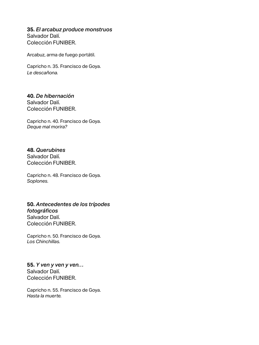#### **35.** *El arcabuz produce monstruos* Salvador Dalí.

Colección FUNIBER.

Arcabuz, arma de fuego portátil.

Capricho n. 35. Francisco de Goya. *Le descañona.*

#### **40.** *De hibernación* Salvador Dalí. Colección FUNIBER.

Capricho n. 40. Francisco de Goya. *Deque mal morira?*

#### **48.** *Querubines*

Salvador Dalí. Colección FUNIBER.

Capricho n. 48. Francisco de Goya. *Soplones.*

#### **50.** *Antecedentes de los trípodes fotográficos* Salvador Dalí. Colección FUNIBER.

Capricho n. 50. Francisco de Goya. *Los Chinchillas.*

**55.** *Y ven y ven y ven…* Salvador Dalí. Colección FUNIBER.

Capricho n. 55. Francisco de Goya. *Hasta la muerte.*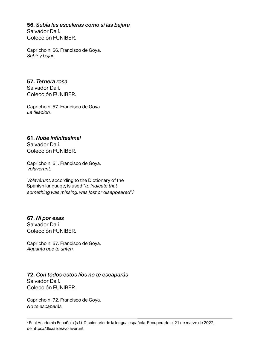**56.** *Subía las escaleras como si las bajara* Salvador Dalí. Colección FUNIBER.

Capricho n. 56. Francisco de Goya. *Subir y bajar.*

**57.** *Ternera rosa* Salvador Dalí. Colección FUNIBER.

Capricho n. 57. Francisco de Goya. *La filiacion.*

**61.** *Nube infinitesimal* Salvador Dalí. Colección FUNIBER.

Capricho n. 61. Francisco de Goya. *Volaverunt.*

*Volavérunt*, according to the Dictionary of the Spanish language, is used "*to indicate that something was missing, was lost or disappeared*".3

**67.** *Ni por esas* Salvador Dalí. Colección FUNIBER.

Capricho n. 67. Francisco de Goya. *Aguanta que te unten.*

#### **72.** *Con todos estos líos no te escaparás* Salvador Dalí. Colección FUNIBER.

Capricho n. 72. Francisco de Goya. *No te escaparás.*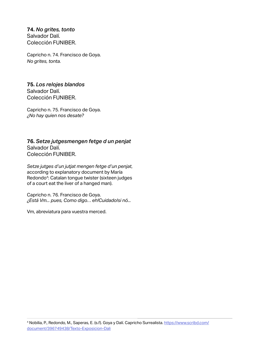**74.** *No grites, tonto* Salvador Dalí. Colección FUNIBER.

Capricho n. 74. Francisco de Goya. *No grites, tonta.*

**75.** *Los relojes blandos* Salvador Dalí. Colección FUNIBER.

Capricho n. 75. Francisco de Goya. *¿No hay quien nos desate?*

**76.** *Setze jutgesmengen fetge d un penjat* Salvador Dalí. Colección FUNIBER.

*Setze jutges d'un jutjat mengen fetge d'un penjat*, according to explanatory document by María Redondo<sup>4</sup>: Catalan tongue twister (sixteen judges of a court eat the liver of a hanged man).

Capricho n. 76. Francisco de Goya. *¿Está Vm... pues, Como digo… eh!Cuidado!si nó...*

Vm, abreviatura para vuestra merced.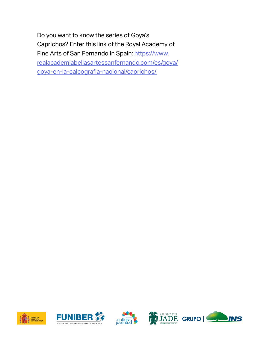Do you want to know the series of Goya's Caprichos? Enter this link of the Royal Academy of Fine Arts of San Fernando in Spain: [https://www.](https://www.realacademiabellasartessanfernando.com/es/goya/goya-en-la-calcografia-nacional/caprichos/ ) [realacademiabellasartessanfernando.com/es/goya/](https://www.realacademiabellasartessanfernando.com/es/goya/goya-en-la-calcografia-nacional/caprichos/ ) [goya-en-la-calcografia-nacional/caprichos/](https://www.realacademiabellasartessanfernando.com/es/goya/goya-en-la-calcografia-nacional/caprichos/ )